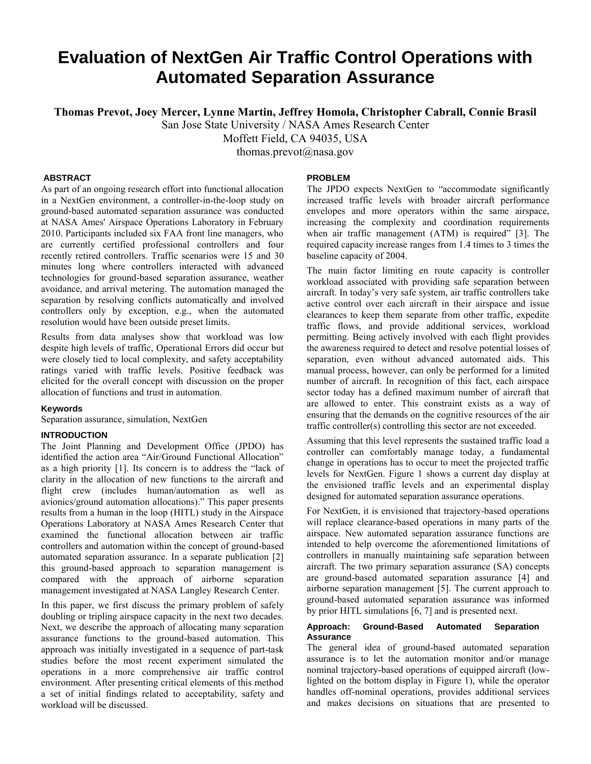# **Evaluation of NextGen Air Traffic Control Operations with Automated Separation Assurance**

**Thomas Prevot, Joey Mercer, Lynne Martin, Jeffrey Homola, Christopher Cabrall, Connie Brasil**

San Jose State University / NASA Ames Research Center

Moffett Field, CA 94035, USA

thomas.prevot@nasa.gov

# **ABSTRACT**

As part of an ongoing research effort into functional allocation in a NextGen environment, a controller-in-the-loop study on ground-based automated separation assurance was conducted at NASA Ames' Airspace Operations Laboratory in February 2010. Participants included six FAA front line managers, who are currently certified professional controllers and four recently retired controllers. Traffic scenarios were 15 and 30 minutes long where controllers interacted with advanced technologies for ground-based separation assurance, weather avoidance, and arrival metering. The automation managed the separation by resolving conflicts automatically and involved controllers only by exception, e.g., when the automated resolution would have been outside preset limits.

Results from data analyses show that workload was low despite high levels of traffic, Operational Errors did occur but were closely tied to local complexity, and safety acceptability ratings varied with traffic levels. Positive feedback was elicited for the overall concept with discussion on the proper allocation of functions and trust in automation.

# **Keywords**

Separation assurance, simulation, NextGen

# **INTRODUCTION**

The Joint Planning and Development Office (JPDO) has identified the action area "Air/Ground Functional Allocation" as a high priority [1]. Its concern is to address the "lack of clarity in the allocation of new functions to the aircraft and flight crew (includes human/automation as well as avionics/ground automation allocations)." This paper presents results from a human in the loop (HITL) study in the Airspace Operations Laboratory at NASA Ames Research Center that examined the functional allocation between air traffic controllers and automation within the concept of ground-based automated separation assurance. In a separate publication [2] this ground-based approach to separation management is compared with the approach of airborne separation management investigated at NASA Langley Research Center.

In this paper, we first discuss the primary problem of safely doubling or tripling airspace capacity in the next two decades. Next, we describe the approach of allocating many separation assurance functions to the ground-based automation. This approach was initially investigated in a sequence of part-task studies before the most recent experiment simulated the operations in a more comprehensive air traffic control environment. After presenting critical elements of this method a set of initial findings related to acceptability, safety and workload will be discussed.

# **PROBLEM**

The JPDO expects NextGen to "accommodate significantly increased traffic levels with broader aircraft performance envelopes and more operators within the same airspace, increasing the complexity and coordination requirements when air traffic management (ATM) is required" [3]. The required capacity increase ranges from 1.4 times to 3 times the baseline capacity of 2004.

The main factor limiting en route capacity is controller workload associated with providing safe separation between aircraft. In today's very safe system, air traffic controllers take active control over each aircraft in their airspace and issue clearances to keep them separate from other traffic, expedite traffic flows, and provide additional services, workload permitting. Being actively involved with each flight provides the awareness required to detect and resolve potential losses of separation, even without advanced automated aids. This manual process, however, can only be performed for a limited number of aircraft. In recognition of this fact, each airspace sector today has a defined maximum number of aircraft that are allowed to enter. This constraint exists as a way of ensuring that the demands on the cognitive resources of the air traffic controller(s) controlling this sector are not exceeded.

Assuming that this level represents the sustained traffic load a controller can comfortably manage today, a fundamental change in operations has to occur to meet the projected traffic levels for NextGen. Figure 1 shows a current day display at the envisioned traffic levels and an experimental display designed for automated separation assurance operations.

For NextGen, it is envisioned that trajectory-based operations will replace clearance-based operations in many parts of the airspace. New automated separation assurance functions are intended to help overcome the aforementioned limitations of controllers in manually maintaining safe separation between aircraft. The two primary separation assurance (SA) concepts are ground-based automated separation assurance [4] and airborne separation management [5]. The current approach to ground-based automated separation assurance was informed by prior HITL simulations [6, 7] and is presented next.

# **Approach: Ground-Based Automated Separation Assurance**

The general idea of ground-based automated separation assurance is to let the automation monitor and/or manage nominal trajectory-based operations of equipped aircraft (lowlighted on the bottom display in Figure 1), while the operator handles off-nominal operations, provides additional services and makes decisions on situations that are presented to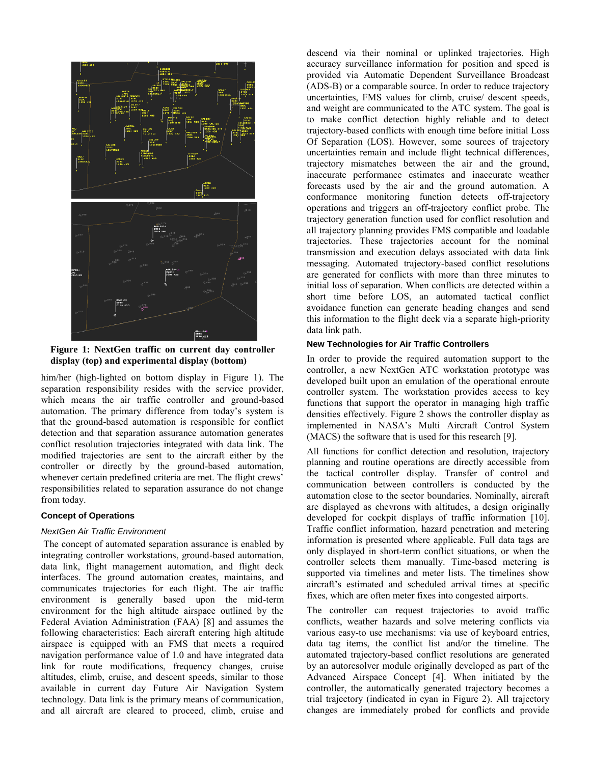

**Figure 1: NextGen traffic on current day controller display (top) and experimental display (bottom)**

him/her (high-lighted on bottom display in Figure 1). The separation responsibility resides with the service provider, which means the air traffic controller and ground-based automation. The primary difference from today's system is that the ground-based automation is responsible for conflict detection and that separation assurance automation generates conflict resolution trajectories integrated with data link. The modified trajectories are sent to the aircraft either by the controller or directly by the ground-based automation, whenever certain predefined criteria are met. The flight crews' responsibilities related to separation assurance do not change from today.

# **Concept of Operations**

### *NextGen Air Traffic Environment*

The concept of automated separation assurance is enabled by integrating controller workstations, ground-based automation, data link, flight management automation, and flight deck interfaces. The ground automation creates, maintains, and communicates trajectories for each flight. The air traffic environment is generally based upon the mid-term environment for the high altitude airspace outlined by the Federal Aviation Administration (FAA) [8] and assumes the following characteristics: Each aircraft entering high altitude airspace is equipped with an FMS that meets a required navigation performance value of 1.0 and have integrated data link for route modifications, frequency changes, cruise altitudes, climb, cruise, and descent speeds, similar to those available in current day Future Air Navigation System technology. Data link is the primary means of communication, and all aircraft are cleared to proceed, climb, cruise and

descend via their nominal or uplinked trajectories. High accuracy surveillance information for position and speed is provided via Automatic Dependent Surveillance Broadcast (ADS-B) or a comparable source. In order to reduce trajectory uncertainties, FMS values for climb, cruise/ descent speeds, and weight are communicated to the ATC system. The goal is to make conflict detection highly reliable and to detect trajectory-based conflicts with enough time before initial Loss Of Separation (LOS). However, some sources of trajectory uncertainties remain and include flight technical differences, trajectory mismatches between the air and the ground, inaccurate performance estimates and inaccurate weather forecasts used by the air and the ground automation. A conformance monitoring function detects off-trajectory operations and triggers an off-trajectory conflict probe. The trajectory generation function used for conflict resolution and all trajectory planning provides FMS compatible and loadable trajectories. These trajectories account for the nominal transmission and execution delays associated with data link messaging. Automated trajectory-based conflict resolutions are generated for conflicts with more than three minutes to initial loss of separation. When conflicts are detected within a short time before LOS, an automated tactical conflict avoidance function can generate heading changes and send this information to the flight deck via a separate high-priority data link path.

### **New Technologies for Air Traffic Controllers**

In order to provide the required automation support to the controller, a new NextGen ATC workstation prototype was developed built upon an emulation of the operational enroute controller system. The workstation provides access to key functions that support the operator in managing high traffic densities effectively. Figure 2 shows the controller display as implemented in NASA's Multi Aircraft Control System (MACS) the software that is used for this research [9].

All functions for conflict detection and resolution, trajectory planning and routine operations are directly accessible from the tactical controller display. Transfer of control and communication between controllers is conducted by the automation close to the sector boundaries. Nominally, aircraft are displayed as chevrons with altitudes, a design originally developed for cockpit displays of traffic information [10]. Traffic conflict information, hazard penetration and metering information is presented where applicable. Full data tags are only displayed in short-term conflict situations, or when the controller selects them manually. Time-based metering is supported via timelines and meter lists. The timelines show aircraft's estimated and scheduled arrival times at specific fixes, which are often meter fixes into congested airports.

The controller can request trajectories to avoid traffic conflicts, weather hazards and solve metering conflicts via various easy-to use mechanisms: via use of keyboard entries, data tag items, the conflict list and/or the timeline. The automated trajectory-based conflict resolutions are generated by an autoresolver module originally developed as part of the Advanced Airspace Concept [4]. When initiated by the controller, the automatically generated trajectory becomes a trial trajectory (indicated in cyan in Figure 2). All trajectory changes are immediately probed for conflicts and provide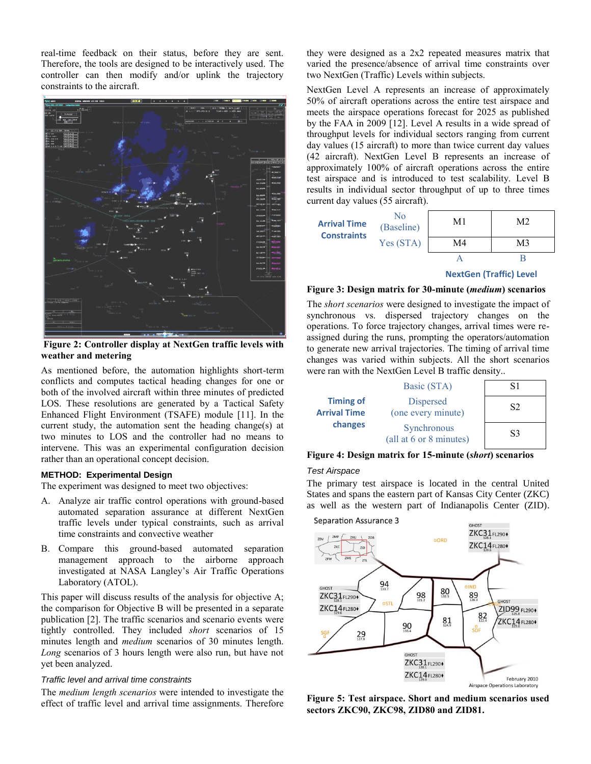real-time feedback on their status, before they are sent. Therefore, the tools are designed to be interactively used. The controller can then modify and/or uplink the trajectory constraints to the aircraft.



**Figure 2: Controller display at NextGen traffic levels with weather and metering**

As mentioned before, the automation highlights short-term conflicts and computes tactical heading changes for one or both of the involved aircraft within three minutes of predicted LOS. These resolutions are generated by a Tactical Safety Enhanced Flight Environment (TSAFE) module [11]. In the current study, the automation sent the heading change(s) at two minutes to LOS and the controller had no means to intervene. This was an experimental configuration decision rather than an operational concept decision.

### **METHOD: Experimental Design**

The experiment was designed to meet two objectives:

- A. Analyze air traffic control operations with ground-based automated separation assurance at different NextGen traffic levels under typical constraints, such as arrival time constraints and convective weather
- B. Compare this ground-based automated separation management approach to the airborne approach investigated at NASA Langley's Air Traffic Operations Laboratory (ATOL).

This paper will discuss results of the analysis for objective A; the comparison for Objective B will be presented in a separate publication [2]. The traffic scenarios and scenario events were tightly controlled. They included *short* scenarios of 15 minutes length and *medium* scenarios of 30 minutes length. *Long* scenarios of 3 hours length were also run, but have not yet been analyzed.

# *Traffic level and arrival time constraints*

The *medium length scenarios* were intended to investigate the effect of traffic level and arrival time assignments. Therefore they were designed as a 2x2 repeated measures matrix that varied the presence/absence of arrival time constraints over two NextGen (Traffic) Levels within subjects.

NextGen Level A represents an increase of approximately 50% of aircraft operations across the entire test airspace and meets the airspace operations forecast for 2025 as published by the FAA in 2009 [12]. Level A results in a wide spread of throughput levels for individual sectors ranging from current day values (15 aircraft) to more than twice current day values (42 aircraft). NextGen Level B represents an increase of approximately 100% of aircraft operations across the entire test airspace and is introduced to test scalability. Level B results in individual sector throughput of up to three times current day values (55 aircraft).

| <b>Arrival Time</b><br><b>Constraints</b> | No<br>(Baseline) | M1 | M <sub>2</sub> |
|-------------------------------------------|------------------|----|----------------|
|                                           | Yes (STA)        | M4 | M3             |
|                                           |                  |    |                |
|                                           |                  |    |                |

### **NextGen (Traffic) Level**

### **Figure 3: Design matrix for 30-minute (***medium***) scenarios**

The *short scenarios* were designed to investigate the impact of synchronous vs. dispersed trajectory changes on the operations. To force trajectory changes, arrival times were reassigned during the runs, prompting the operators/automation to generate new arrival trajectories. The timing of arrival time changes was varied within subjects. All the short scenarios were ran with the NextGen Level B traffic density..

|                                                    | Basic (STA)                            |                |
|----------------------------------------------------|----------------------------------------|----------------|
| <b>Timing of</b><br><b>Arrival Time</b><br>changes | <b>Dispersed</b><br>(one every minute) | S <sub>2</sub> |
|                                                    | Synchronous<br>(all at 6 or 8 minutes) | S3             |

**Figure 4: Design matrix for 15-minute (***short***) scenarios**

### *Test Airspace*

The primary test airspace is located in the central United States and spans the eastern part of Kansas City Center (ZKC) as well as the western part of Indianapolis Center (ZID).



**Figure 5: Test airspace. Short and medium scenarios used sectors ZKC90, ZKC98, ZID80 and ZID81.**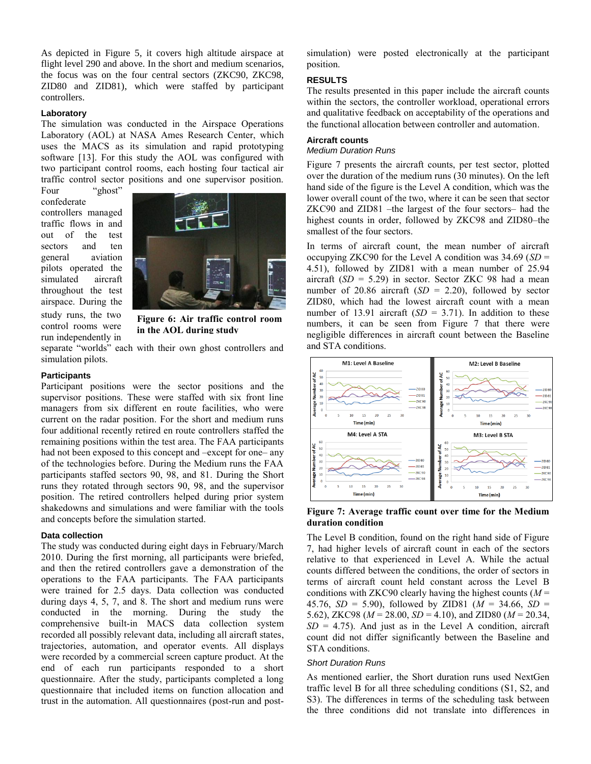As depicted in Figure 5, it covers high altitude airspace at flight level 290 and above. In the short and medium scenarios, the focus was on the four central sectors (ZKC90, ZKC98, ZID80 and ZID81), which were staffed by participant controllers.

#### **Laboratory**

The simulation was conducted in the Airspace Operations Laboratory (AOL) at NASA Ames Research Center, which uses the MACS as its simulation and rapid prototyping software [13]. For this study the AOL was configured with two participant control rooms, each hosting four tactical air traffic control sector positions and one supervisor position.

Four "ghost" confederate controllers managed traffic flows in and out of the test sectors and ten general aviation pilots operated the simulated aircraft throughout the test airspace. During the

study runs, the two control rooms were run independently in



**Figure 6: Air traffic control room in the AOL during study**

separate "worlds" each with their own ghost controllers and simulation pilots.

### **Participants**

Participant positions were the sector positions and the supervisor positions. These were staffed with six front line managers from six different en route facilities, who were current on the radar position. For the short and medium runs four additional recently retired en route controllers staffed the remaining positions within the test area. The FAA participants had not been exposed to this concept and –except for one– any of the technologies before. During the Medium runs the FAA participants staffed sectors 90, 98, and 81. During the Short runs they rotated through sectors 90, 98, and the supervisor position. The retired controllers helped during prior system shakedowns and simulations and were familiar with the tools and concepts before the simulation started.

### **Data collection**

The study was conducted during eight days in February/March 2010. During the first morning, all participants were briefed, and then the retired controllers gave a demonstration of the operations to the FAA participants. The FAA participants were trained for 2.5 days. Data collection was conducted during days 4, 5, 7, and 8. The short and medium runs were conducted in the morning. During the study the comprehensive built-in MACS data collection system recorded all possibly relevant data, including all aircraft states, trajectories, automation, and operator events. All displays were recorded by a commercial screen capture product. At the end of each run participants responded to a short questionnaire. After the study, participants completed a long questionnaire that included items on function allocation and trust in the automation. All questionnaires (post-run and postsimulation) were posted electronically at the participant position.

### **RESULTS**

The results presented in this paper include the aircraft counts within the sectors, the controller workload, operational errors and qualitative feedback on acceptability of the operations and the functional allocation between controller and automation.

# **Aircraft counts**

# *Medium Duration Runs*

Figure 7 presents the aircraft counts, per test sector, plotted over the duration of the medium runs (30 minutes). On the left hand side of the figure is the Level A condition, which was the lower overall count of the two, where it can be seen that sector ZKC90 and ZID81 –the largest of the four sectors– had the highest counts in order, followed by ZKC98 and ZID80–the smallest of the four sectors.

In terms of aircraft count, the mean number of aircraft occupying ZKC90 for the Level A condition was 34.69 (*SD* = 4.51), followed by ZID81 with a mean number of 25.94 aircraft  $(SD = 5.29)$  in sector. Sector ZKC 98 had a mean number of 20.86 aircraft (*SD* = 2.20), followed by sector ZID80, which had the lowest aircraft count with a mean number of 13.91 aircraft  $(SD = 3.71)$ . In addition to these numbers, it can be seen from Figure 7 that there were negligible differences in aircraft count between the Baseline and STA conditions.



# **Figure 7: Average traffic count over time for the Medium duration condition**

The Level B condition, found on the right hand side of Figure 7, had higher levels of aircraft count in each of the sectors relative to that experienced in Level A. While the actual counts differed between the conditions, the order of sectors in terms of aircraft count held constant across the Level B conditions with ZKC90 clearly having the highest counts (*M* = 45.76, *SD* = 5.90), followed by ZID81 (*M* = 34.66, *SD* = 5.62), ZKC98 ( $M = 28.00$ ,  $SD = 4.10$ ), and ZID80 ( $M = 20.34$ ,  $SD = 4.75$ ). And just as in the Level A condition, aircraft count did not differ significantly between the Baseline and STA conditions.

#### *Short Duration Runs*

As mentioned earlier, the Short duration runs used NextGen traffic level B for all three scheduling conditions (S1, S2, and S3). The differences in terms of the scheduling task between the three conditions did not translate into differences in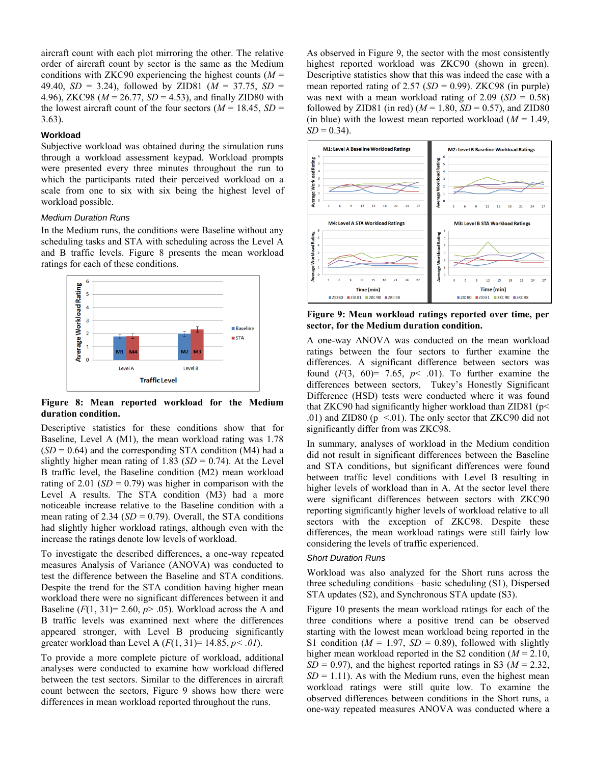aircraft count with each plot mirroring the other. The relative order of aircraft count by sector is the same as the Medium conditions with ZKC90 experiencing the highest counts  $(M =$ 49.40, *SD* = 3.24), followed by ZID81 (*M* = 37.75, *SD* = 4.96), ZKC98 (*M* = 26.77, *SD* = 4.53), and finally ZID80 with the lowest aircraft count of the four sectors ( $M = 18.45$ ,  $SD =$ 3.63).

### **Workload**

Subjective workload was obtained during the simulation runs through a workload assessment keypad. Workload prompts were presented every three minutes throughout the run to which the participants rated their perceived workload on a scale from one to six with six being the highest level of workload possible.

# *Medium Duration Runs*

In the Medium runs, the conditions were Baseline without any scheduling tasks and STA with scheduling across the Level A and B traffic levels. Figure 8 presents the mean workload ratings for each of these conditions.



**Figure 8: Mean reported workload for the Medium duration condition.**

Descriptive statistics for these conditions show that for Baseline, Level A (M1), the mean workload rating was 1.78  $(SD = 0.64)$  and the corresponding STA condition (M4) had a slightly higher mean rating of 1.83 ( $SD = 0.74$ ). At the Level B traffic level, the Baseline condition (M2) mean workload rating of 2.01 ( $SD = 0.79$ ) was higher in comparison with the Level A results. The STA condition (M3) had a more noticeable increase relative to the Baseline condition with a mean rating of 2.34 ( $SD = 0.79$ ). Overall, the STA conditions had slightly higher workload ratings, although even with the increase the ratings denote low levels of workload.

To investigate the described differences, a one-way repeated measures Analysis of Variance (ANOVA) was conducted to test the difference between the Baseline and STA conditions. Despite the trend for the STA condition having higher mean workload there were no significant differences between it and Baseline  $(F(1, 31)= 2.60, p > .05)$ . Workload across the A and B traffic levels was examined next where the differences appeared stronger, with Level B producing significantly greater workload than Level A  $(F(1, 31)=14.85, p<.01)$ .

To provide a more complete picture of workload, additional analyses were conducted to examine how workload differed between the test sectors. Similar to the differences in aircraft count between the sectors, Figure 9 shows how there were differences in mean workload reported throughout the runs.

As observed in Figure 9, the sector with the most consistently highest reported workload was ZKC90 (shown in green). Descriptive statistics show that this was indeed the case with a mean reported rating of  $2.57$  ( $SD = 0.99$ ). ZKC98 (in purple) was next with a mean workload rating of  $2.09$  (*SD* = 0.58) followed by ZID81 (in red)  $(M = 1.80, SD = 0.57)$ , and ZID80 (in blue) with the lowest mean reported workload  $(M = 1.49)$ ,  $SD = 0.34$ .



**Figure 9: Mean workload ratings reported over time, per sector, for the Medium duration condition.**

A one-way ANOVA was conducted on the mean workload ratings between the four sectors to further examine the differences. A significant difference between sectors was found  $(F(3, 60) = 7.65, p < .01)$ . To further examine the differences between sectors, Tukey's Honestly Significant Difference (HSD) tests were conducted where it was found that ZKC90 had significantly higher workload than ZID81 ( $p$  < .01) and ZID80 ( $p \le 01$ ). The only sector that ZKC90 did not significantly differ from was ZKC98.

In summary, analyses of workload in the Medium condition did not result in significant differences between the Baseline and STA conditions, but significant differences were found between traffic level conditions with Level B resulting in higher levels of workload than in A. At the sector level there were significant differences between sectors with ZKC90 reporting significantly higher levels of workload relative to all sectors with the exception of ZKC98. Despite these differences, the mean workload ratings were still fairly low considering the levels of traffic experienced.

# *Short Duration Runs*

Workload was also analyzed for the Short runs across the three scheduling conditions –basic scheduling (S1), Dispersed STA updates (S2), and Synchronous STA update (S3).

Figure 10 presents the mean workload ratings for each of the three conditions where a positive trend can be observed starting with the lowest mean workload being reported in the S1 condition ( $M = 1.97$ ,  $SD = 0.89$ ), followed with slightly higher mean workload reported in the S2 condition ( $M = 2.10$ ,  $SD = 0.97$ ), and the highest reported ratings in S3 ( $M = 2.32$ ,  $SD = 1.11$ ). As with the Medium runs, even the highest mean workload ratings were still quite low. To examine the observed differences between conditions in the Short runs, a one-way repeated measures ANOVA was conducted where a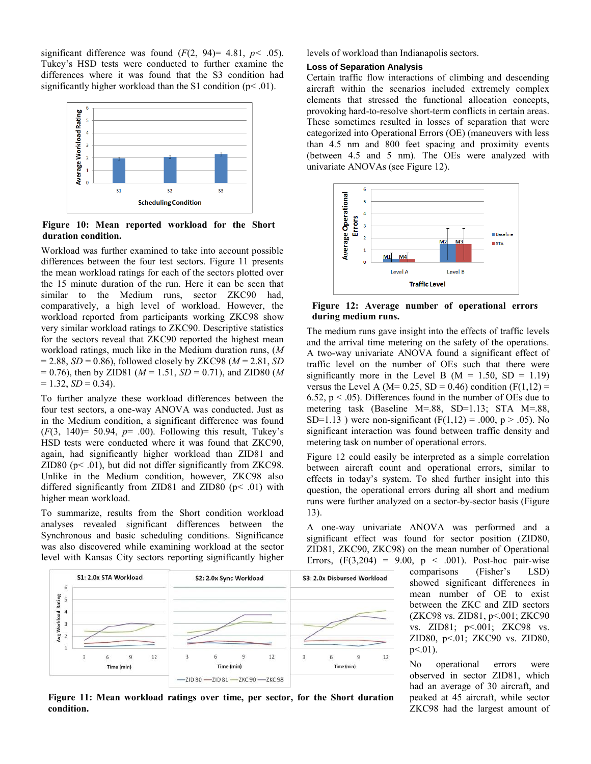significant difference was found  $(F(2, 94)= 4.81, p< .05)$ . Tukey's HSD tests were conducted to further examine the differences where it was found that the S3 condition had significantly higher workload than the S1 condition  $(p<0.01)$ .



**Figure 10: Mean reported workload for the Short duration condition.**

Workload was further examined to take into account possible differences between the four test sectors. Figure 11 presents the mean workload ratings for each of the sectors plotted over the 15 minute duration of the run. Here it can be seen that similar to the Medium runs, sector ZKC90 had, comparatively, a high level of workload. However, the workload reported from participants working ZKC98 show very similar workload ratings to ZKC90. Descriptive statistics for the sectors reveal that ZKC90 reported the highest mean workload ratings, much like in the Medium duration runs, (*M*   $= 2.88$ , *SD* = 0.86), followed closely by ZKC98 ( $M = 2.81$ , *SD*  $= 0.76$ ), then by ZID81 ( $M = 1.51$ ,  $SD = 0.71$ ), and ZID80 (M)  $= 1.32, SD = 0.34.$ 

To further analyze these workload differences between the four test sectors, a one-way ANOVA was conducted. Just as in the Medium condition, a significant difference was found  $(F(3, 140) = 50.94, p = .00)$ . Following this result, Tukey's HSD tests were conducted where it was found that ZKC90, again, had significantly higher workload than ZID81 and ZID80 ( $p$ < .01), but did not differ significantly from ZKC98. Unlike in the Medium condition, however, ZKC98 also differed significantly from ZID81 and ZID80 ( $p$  < .01) with higher mean workload.

To summarize, results from the Short condition workload analyses revealed significant differences between the Synchronous and basic scheduling conditions. Significance was also discovered while examining workload at the sector level with Kansas City sectors reporting significantly higher levels of workload than Indianapolis sectors.

#### **Loss of Separation Analysis**

Certain traffic flow interactions of climbing and descending aircraft within the scenarios included extremely complex elements that stressed the functional allocation concepts, provoking hard-to-resolve short-term conflicts in certain areas. These sometimes resulted in losses of separation that were categorized into Operational Errors (OE) (maneuvers with less than 4.5 nm and 800 feet spacing and proximity events (between 4.5 and 5 nm). The OEs were analyzed with univariate ANOVAs (see Figure 12).



**Figure 12: Average number of operational errors during medium runs.**

The medium runs gave insight into the effects of traffic levels and the arrival time metering on the safety of the operations. A two-way univariate ANOVA found a significant effect of traffic level on the number of OEs such that there were significantly more in the Level B ( $M = 1.50$ ,  $SD = 1.19$ ) versus the Level A (M=  $0.25$ , SD =  $0.46$ ) condition (F(1,12) = 6.52,  $p < .05$ ). Differences found in the number of OEs due to metering task (Baseline M=.88, SD=1.13; STA M=.88, SD=1.13 ) were non-significant (F(1,12) = .000, p > .05). No significant interaction was found between traffic density and metering task on number of operational errors.

Figure 12 could easily be interpreted as a simple correlation between aircraft count and operational errors, similar to effects in today's system. To shed further insight into this question, the operational errors during all short and medium runs were further analyzed on a sector-by-sector basis (Figure 13).

A one-way univariate ANOVA was performed and a significant effect was found for sector position (ZID80, ZID81, ZKC90, ZKC98) on the mean number of Operational Errors,  $(F(3,204) = 9.00, p < .001)$ . Post-hoc pair-wise



comparisons (Fisher's LSD) showed significant differences in mean number of OE to exist between the ZKC and ZID sectors (ZKC98 vs. ZID81, p<.001; ZKC90 vs. ZID81; p<.001; ZKC98 vs. ZID80, p<.01; ZKC90 vs. ZID80,  $p<.01$ ).

No operational errors were observed in sector ZID81, which had an average of 30 aircraft, and peaked at 45 aircraft, while sector ZKC98 had the largest amount of

**Figure 11: Mean workload ratings over time, per sector, for the Short duration condition.**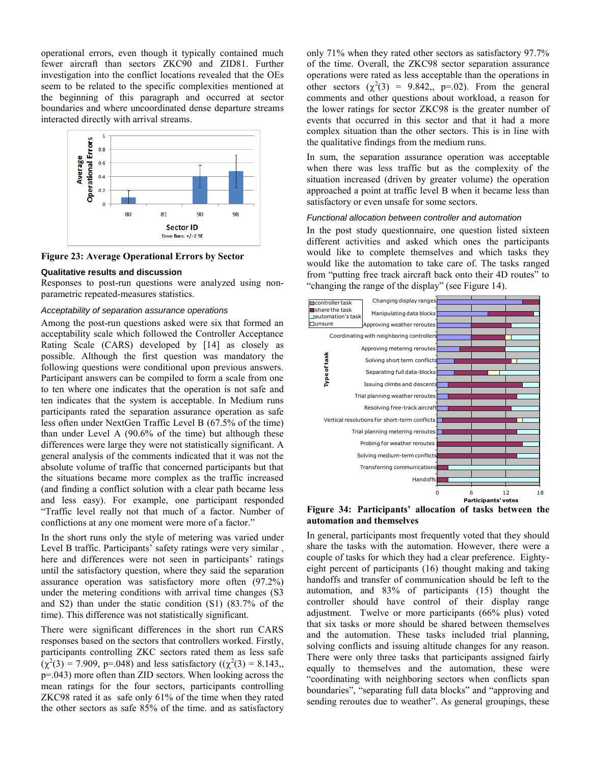operational errors, even though it typically contained much fewer aircraft than sectors ZKC90 and ZID81. Further investigation into the conflict locations revealed that the OEs seem to be related to the specific complexities mentioned at the beginning of this paragraph and occurred at sector boundaries and where uncoordinated dense departure streams interacted directly with arrival streams.



**Figure 23: Average Operational Errors by Sector**

#### **Qualitative results and discussion**

Responses to post-run questions were analyzed using nonparametric repeated-measures statistics.

#### *Acceptability of separation assurance operations*

Among the post-run questions asked were six that formed an acceptability scale which followed the Controller Acceptance Rating Scale (CARS) developed by [14] as closely as possible. Although the first question was mandatory the following questions were conditional upon previous answers. Participant answers can be compiled to form a scale from one to ten where one indicates that the operation is not safe and ten indicates that the system is acceptable. In Medium runs participants rated the separation assurance operation as safe less often under NextGen Traffic Level B (67.5% of the time) than under Level A (90.6% of the time) but although these differences were large they were not statistically significant. A general analysis of the comments indicated that it was not the absolute volume of traffic that concerned participants but that the situations became more complex as the traffic increased (and finding a conflict solution with a clear path became less and less easy). For example, one participant responded "Traffic level really not that much of a factor. Number of conflictions at any one moment were more of a factor."

In the short runs only the style of metering was varied under Level B traffic. Participants' safety ratings were very similar , here and differences were not seen in participants' ratings until the satisfactory question, where they said the separation assurance operation was satisfactory more often (97.2%) under the metering conditions with arrival time changes (S3 and S2) than under the static condition (S1) (83.7% of the time). This difference was not statistically significant.

There were significant differences in the short run CARS responses based on the sectors that controllers worked. Firstly, participants controlling ZKC sectors rated them as less safe  $(\chi^2(3) = 7.909, p = 0.048)$  and less satisfactory  $((\chi^2(3) = 8.143),$ p=.043) more often than ZID sectors. When looking across the mean ratings for the four sectors, participants controlling ZKC98 rated it as safe only 61% of the time when they rated the other sectors as safe 85% of the time. and as satisfactory

only 71% when they rated other sectors as satisfactory 97.7% of the time. Overall, the ZKC98 sector separation assurance operations were rated as less acceptable than the operations in other sectors  $(\chi^2(3) = 9.842, p=0.02)$ . From the general comments and other questions about workload, a reason for the lower ratings for sector ZKC98 is the greater number of events that occurred in this sector and that it had a more complex situation than the other sectors. This is in line with the qualitative findings from the medium runs.

In sum, the separation assurance operation was acceptable when there was less traffic but as the complexity of the situation increased (driven by greater volume) the operation approached a point at traffic level B when it became less than satisfactory or even unsafe for some sectors.

#### *Functional allocation between controller and automation*

In the post study questionnaire, one question listed sixteen different activities and asked which ones the participants would like to complete themselves and which tasks they would like the automation to take care of. The tasks ranged from "putting free track aircraft back onto their 4D routes" to "changing the range of the display" (see Figure 14).



**Figure 34: Participants' allocation of tasks between the automation and themselves**

In general, participants most frequently voted that they should share the tasks with the automation. However, there were a couple of tasks for which they had a clear preference. Eightyeight percent of participants (16) thought making and taking handoffs and transfer of communication should be left to the automation, and 83% of participants (15) thought the controller should have control of their display range adjustment. Twelve or more participants (66% plus) voted that six tasks or more should be shared between themselves and the automation. These tasks included trial planning, solving conflicts and issuing altitude changes for any reason. There were only three tasks that participants assigned fairly equally to themselves and the automation, these were "coordinating with neighboring sectors when conflicts span boundaries", "separating full data blocks" and "approving and sending reroutes due to weather". As general groupings, these